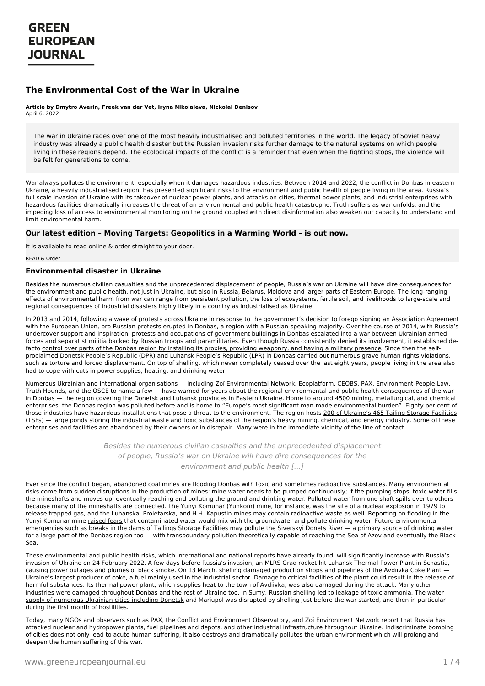# **GREEN EUROPEAN JOURNAL**

### **The Environmental Cost of the War in Ukraine**

#### **Article by Dmytro Averin, Freek van der Vet, Iryna Nikolaieva, Nickolai Denisov** April 6, 2022

The war in Ukraine rages over one of the most heavily industrialised and polluted territories in the world. The legacy of Soviet heavy industry was already a public health disaster but the Russian invasion risks further damage to the natural systems on which people living in these regions depend. The ecological impacts of the conflict is a reminder that even when the fighting stops, the violence will be felt for generations to come.

War always pollutes the environment, especially when it damages hazardous industries. Between 2014 and 2022, the conflict in Donbas in eastern Ukraine, a heavily industrialised region, has presented [significant](https://www.osce.org/project-coordinator-in-ukraine/362566) risks to the environment and public health of people living in the area. Russia's full-scale invasion of Ukraine with its takeover of nuclear power plants, and attacks on cities, thermal power plants, and industrial enterprises with hazardous facilities dramatically increases the threat of an environmental and public health catastrophe. Truth suffers as war unfolds, and the impeding loss of access to environmental monitoring on the ground coupled with direct disinformation also weaken our capacity to understand and limit environmental harm.

### **Our latest edition – Moving Targets: Geopolitics in a Warming World – is out now.**

It is available to read online & order straight to your door.

#### READ & [Order](https://www.greeneuropeanjournal.eu/edition/moving-targets/)

#### **Environmental disaster in Ukraine**

Besides the numerous civilian casualties and the unprecedented displacement of people, Russia's war on Ukraine will have dire consequences for the environment and public health, not just in Ukraine, but also in Russia, Belarus, Moldova and larger parts of Eastern Europe. The long-ranging effects of environmental harm from war can range from persistent pollution, the loss of ecosystems, fertile soil, and livelihoods to large-scale and regional consequences of industrial disasters highly likely in a country as industrialised as Ukraine.

In 2013 and 2014, following a wave of protests across Ukraine in response to the government's decision to forego signing an Association Agreement with the European Union, pro-Russian protests erupted in Donbas, a region with a Russian-speaking majority. Over the course of 2014, with Russia's undercover support and inspiration, protests and occupations of government buildings in Donbas escalated into a war between Ukrainian armed forces and separatist militia backed by Russian troops and paramilitaries. Even though Russia consistently denied its involvement, it established defacto control over parts of the Donbas region by installing its proxies, providing [weaponry,](https://helsinki.org.ua/wp-content/uploads/2017/04/booklet_ENG1.pdf) and having a military presence. Since then the selfproclaimed Donetsk People's Republic (DPR) and Luhansk People's Republic (LPR) in Donbas carried out numerous grave human rights [violations](https://helsinki.org.ua/wp-content/uploads/2017/04/booklet_ENG1.pdf), such as torture and forced displacement. On top of shelling, which never completely ceased over the last eight years, people living in the area also had to cope with cuts in power supplies, heating, and drinking water.

Numerous Ukrainian and international organisations — including Zoï Environmental Network, Ecoplatform, CEOBS, PAX, Environment-People-Law, Truth Hounds, and the OSCE to name a few — have warned for years about the regional environmental and public health consequences of the war in Donbas — the region covering the Donetsk and Luhansk provinces in Eastern Ukraine. Home to around 4500 mining, metallurgical, and chemical enterprises, the Donbas region was polluted before and is home to "Europe's most significant man-made [environmental](https://www.osce.org/project-coordinator-in-ukraine/362566) burden". Eighty per cent of those industries have hazardous installations that pose a threat to the environment. The region hosts 200 of [Ukraine's](https://media.voog.com/0000/0036/1658/files/SUMMARY_Donbas%20TSFs_OSCE_published_eng.pdf) 465 Tailing Storage Facilities (TSFs) — large ponds storing the industrial waste and toxic substances of the region's heavy mining, chemical, and energy industry. Some of these enterprises and facilities are abandoned by their owners or in disrepair. Many were in the [immediate](https://www.deis.menr.gov.ua/) vicinity of the line of contact.

> Besides the numerous civilian casualties and the unprecedented displacement of people, Russia's war on Ukraine will have dire consequences for the environment and public health […]

Ever since the conflict began, abandoned coal mines are flooding Donbas with toxic and sometimes radioactive substances. Many environmental risks come from sudden disruptions in the production of mines: mine water needs to be pumped continuously; if the pumping stops, toxic water fills the mineshafts and moves up, eventually reaching and polluting the ground and drinking water. Polluted water from one shaft spills over to others because many of the mineshafts are [connected.](https://truth-hounds.org/en/donbas-environment-invisible-front/) The Yunyi Komunar (Yunkom) mine, for instance, was the site of a nuclear explosion in 1979 to release trapped gas, and the Luhanska, [Proletarska,](http://epl.org.ua/wp-content/uploads/2015/07/1817_WEB_EPL_Posibnuk_ATO_English.pdf) and H.H. Kapustin mines may contain radioactive waste as well. Reporting on flooding in the Yunyi Komunar mine [raised](https://ceobs.org/abandoned-mines-are-flooding-in-ukraines-donbass-region/) fears that contaminated water would mix with the groundwater and pollute drinking water. Future environmental emergencies such as breaks in the dams of Tailings Storage Facilities may pollute the Siverskyi Donets River — a primary source of drinking water for a large part of the Donbas region too — with transboundary pollution theoretically capable of reaching the Sea of Azov and eventually the Black Sea.

These environmental and public health risks, which international and national reports have already found, will significantly increase with Russia's invasion of Ukraine on 24 February 2022. A few days before Russia's invasion, an MLRS Grad rocket hit Luhansk Thermal Power Plant in [Schastia](https://twitter.com/detoxconflict/status/1496176264796848131), causing power outages and plumes of black smoke. On 13 March, shelling damaged production shops and pipelines of the [Avdiivka](https://www.reuters.com/world/europe/ukraines-largest-steel-firm-says-shells-hit-avdiivka-coke-plant-2022-03-13/) Coke Plant -[Ukraine's](https://www.greeneuropeanjournal.eu) largest producer of coke, a fuel mainly used in the industrial sector. Damage to critical facilities of the plant could result in the release of harmful substances. Its thermal power plant, which supplies heat to the town of Avdiivka, was also damaged during the attack. Many other industries were damaged [throughout](https://novosti.dn.ua/news/320771-donetskaya-filtrovalnaya-stantsiya-obestochena-podacha-vody-prekrashhena) Donbas and the rest of Ukraine too. In Sumy, Russian shelling led to leakage of toxic [ammonia](https://www.aljazeera.com/news/2022/3/21/ukrainians-told-to-shelter-after-leak-at-ammonia-plant). The water supply of numerous Ukrainian cities including Donetsk and Mariupol was disrupted by shelling just before the war started, and then in particular during the first month of hostilities.

Today, many NGOs and observers such as PAX, the Conflict and Environment Observatory, and Zoï Environment Network report that Russia has attacked nuclear and hydropower plants, fuel pipelines and depots, and other industrial [infrastructure](https://paxforpeace.nl/news/overview/environment-and-conflict-alert-ukraine-a-first-glimpse-of-the-toxic-toll-or-russias-invasion-of-ukraine) throughout Ukraine. Indiscriminate bombing of cities does not only lead to acute human suffering, it also destroys and dramatically pollutes the urban environment which will prolong and deepen the human suffering of this war.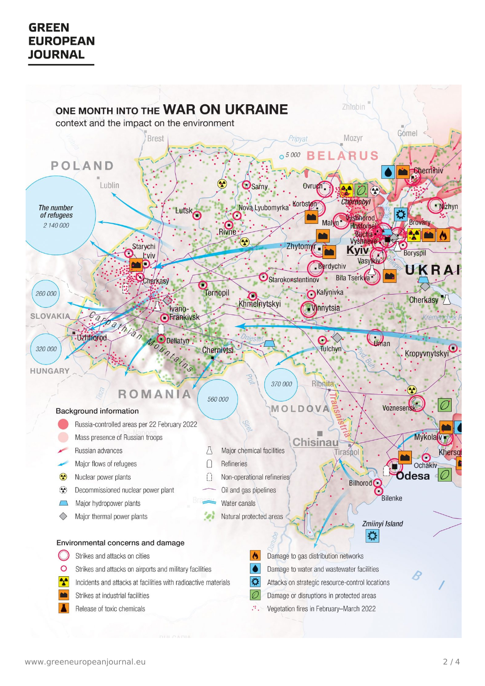# **GREEN EUROPEAN JOURNAL**

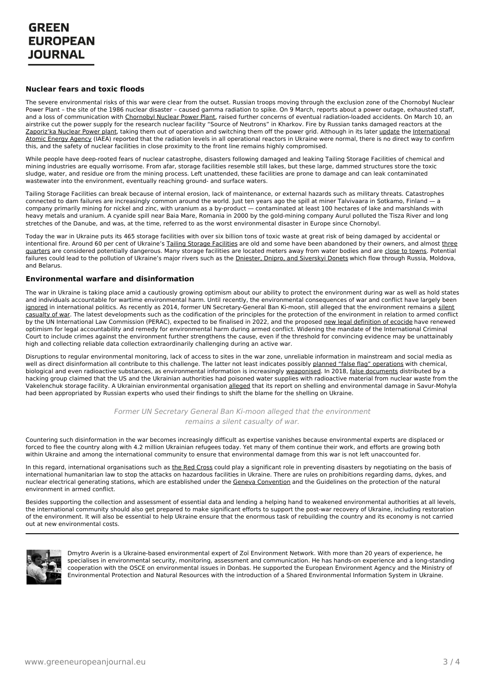#### **Nuclear fears and toxic floods**

The severe environmental risks of this war were clear from the outset. Russian troops moving through the exclusion zone of the Chornobyl Nuclear Power Plant – the site of the 1986 nuclear disaster – caused gamma radiation to spike. On 9 March, reports about a power outage, exhausted staff, and a loss of communication with [Chornobyl](https://www.iaea.org/newscenter/pressreleases/update-17-iaea-director-general-statement-on-situation-in-ukraine) Nuclear Power Plant, raised further concerns of eventual radiation-loaded accidents. On March 10, an airstrike cut the power supply for the research nuclear facility "Source of Neutrons" in Kharkov. Fire by Russian tanks damaged reactors at the [Zaporiz'ka](https://mepr.gov.ua/en/news/39028.html) Nuclear Power plant, taking them out of operation and switching them off the power grid. Although in its later [update](https://www.iaea.org/newscenter/pressreleases/update-17-iaea-director-general-statement-on-situation-in-ukraine) the [International](https://www.iaea.org/) Atomic Energy Agency (IAEA) reported that the radiation levels in all operational reactors in Ukraine were normal, there is no direct way to confirm this, and the safety of nuclear facilities in close proximity to the front line remains highly compromised.

While people have deep-rooted fears of nuclear catastrophe, disasters following damaged and leaking Tailing Storage Facilities of chemical and mining industries are equally worrisome. From afar, storage facilities resemble still lakes, but these large, dammed structures store the toxic sludge, water, and residue ore from the mining process. Left unattended, these facilities are prone to damage and can leak contaminated wastewater into the environment, eventually reaching ground- and surface waters.

Tailing Storage Facilities can break because of internal erosion, lack of maintenance, or external hazards such as military threats. Catastrophes connected to dam failures are increasingly common around the world. Just ten years ago the spill at miner Talvivaara in Sotkamo, Finland — a company primarily mining for nickel and zinc, with uranium as a by-product — contaminated at least 100 hectares of lake and marshlands with heavy metals and uranium. A cyanide spill near Baia Mare, Romania in 2000 by the gold-mining company Aurul polluted the Tisza River and long stretches of the Danube, and was, at the time, referred to as the worst environmental disaster in Europe since Chornobyl.

Today the war in Ukraine puts its 465 storage facilities with over six billion tons of toxic waste at great risk of being damaged by accidental or intentional fire. Around 60 per cent of Ukraine's Tailing Storage [Facilities](https://media.voog.com/0000/0036/1658/files/SUMMARY_Donbas%20TSFs_OSCE_published_eng.pdf) are old and some have been abandoned by their owners, and almost three quarters are considered potentially [dangerous.](https://www.umweltbundesamt.de/sites/default/files/medien/1410/publikationen/2018-05-04_texte_34-2018_tailings_safety_ukraine.pdf) Many storage facilities are located meters away from water bodies and are close to [towns](https://media.voog.com/0000/0036/1658/files/SUMMARY_Donbas%20TSFs_OSCE_published_eng.pdf). Potential failures could lead to the pollution of Ukraine's major rivers such as the *Dniester*, Dnipro, and Siverskyi Donets which flow through Russia, Moldova, and Belarus.

#### **Environmental warfare and disinformation**

The war in Ukraine is taking place amid a cautiously growing optimism about our ability to protect the environment during war as well as hold states and individuals accountable for wartime environmental harm. Until recently, the environmental consequences of war and conflict have largely been [ignored](https://ceobs.org/wp-content/uploads/2018/01/WEB_READY%25E2%2580%2593TRW_Pollution_Politics_Report.pdf) in international politics. As recently as 2014, former UN [Secretary-General](https://news.un.org/en/story/2014/11/482922-international-day-un-urges-protection-environment-ravages-war) Ban Ki-moon, still alleged that the environment remains a silent casualty of war. The latest developments such as the codification of the principles for the protection of the environment in relation to armed conflict by the UN International Law Commission (PERAC), expected to be finalised in 2022, and the proposed new legal [definition](https://static1.squarespace.com/static/5ca2608ab914493c64ef1f6d/t/60d7479cf8e7e5461534dd07/1624721314430/SE+Foundation+Commentary+and+core+text+revised+%25281%2529.pdf) of ecocide have renewed optimism for legal accountability and remedy for environmental harm during armed conflict. Widening the mandate of the International Criminal Court to include crimes against the environment further strengthens the cause, even if the threshold for convincing evidence may be unattainably high and collecting reliable data collection extraordinarily challenging during an active war.

Disruptions to regular environmental monitoring, lack of access to sites in the war zone, unreliable information in mainstream and social media as well as direct disinformation all contribute to this challenge. The latter not least indicates possibly planned "false flag" [operations](https://theconversation.com/what-are-false-flag-attacks-and-did-russia-stage-any-to-claim-justification-for-invading-ukraine-177879) with chemical, biological and even radioactive substances, as environmental information is increasingly [weaponised](https://ceobs.org/the-weaponisation-of-environmental-information-in-the-era-of-fake-news/). In 2018, false [documents](https://ceobs.org/the-weaponisation-of-environmental-information-in-the-era-of-fake-news/) distributed by a hacking group claimed that the US and the Ukrainian authorities had poisoned water supplies with radioactive material from nuclear waste from the Vakelenchuk storage facility. A Ukrainian environmental organisation [alleged](http://epl.org.ua/en/announces/ahenty-putina-prysvoily-rozrobku-ukrainckykh-ekolohiv-2/) that its report on shelling and environmental damage in Savur-Mohyla had been appropriated by Russian experts who used their findings to shift the blame for the shelling on Ukraine.

> Former UN Secretary General Ban Ki-moon alleged that the environment remains a silent casualty of war.

Countering such disinformation in the war becomes increasingly difficult as expertise vanishes because environmental experts are displaced or forced to flee the country along with 4.2 million Ukrainian refugees today. Yet many of them continue their work, and efforts are growing both within Ukraine and among the international community to ensure that environmental damage from this war is not left unaccounted for.

In this regard, international organisations such as the Red [Cross](https://www.icrc.org/en/document/president-international-committee-red-cross-arrives-moscow) could play a significant role in preventing disasters by negotiating on the basis of international humanitarian law to stop the attacks on hazardous facilities in Ukraine. There are rules on prohibitions regarding dams, dykes, and nuclear electrical generating stations, which are established under the Geneva [Convention](https://ihl-databases.icrc.org/customary-ihl/eng/docindex/v1_rul_rule42) and the Guidelines on the protection of the natural environment in armed conflict.

Besides supporting the collection and assessment of essential data and lending a helping hand to weakened environmental authorities at all levels, the international community should also get prepared to make significant efforts to support the post-war recovery of Ukraine, including restoration of the environment. It will also be essential to help Ukraine ensure that the enormous task of rebuilding the country and its economy is not carried out at new environmental costs.



Dmytro Averin is a Ukraine-based environmental expert of Zoï Environment Network. With more than 20 years of experience, he specialises in environmental security, monitoring, assessment and communication. He has hands-on experience and a long-standing cooperation with the OSCE on environmental issues in Donbas. He supported the European Environment Agency and the Ministry of [Environmental](https://www.greeneuropeanjournal.eu) Protection and Natural Resources with the introduction of a Shared Environmental Information System in Ukraine.